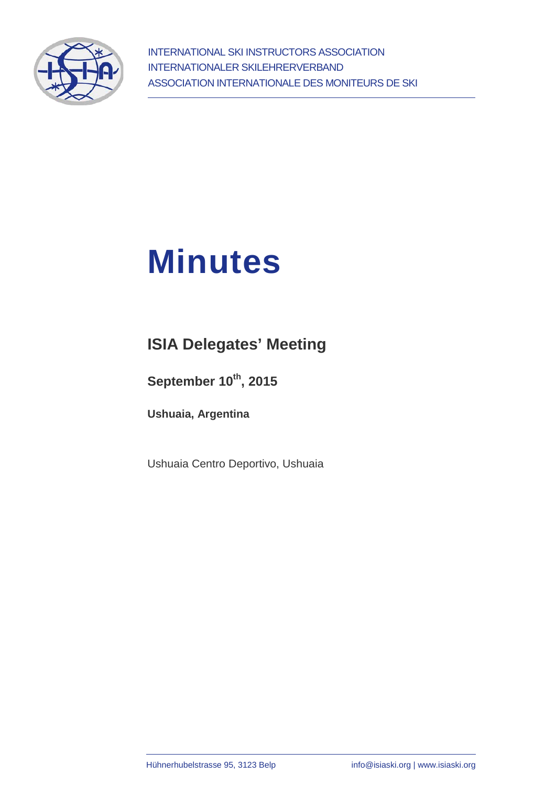

# **Minutes**

## **ISIA Delegates' Meeting**

September 10<sup>th</sup>, 2015

**Ushuaia, Argentina**

Ushuaia Centro Deportivo, Ushuaia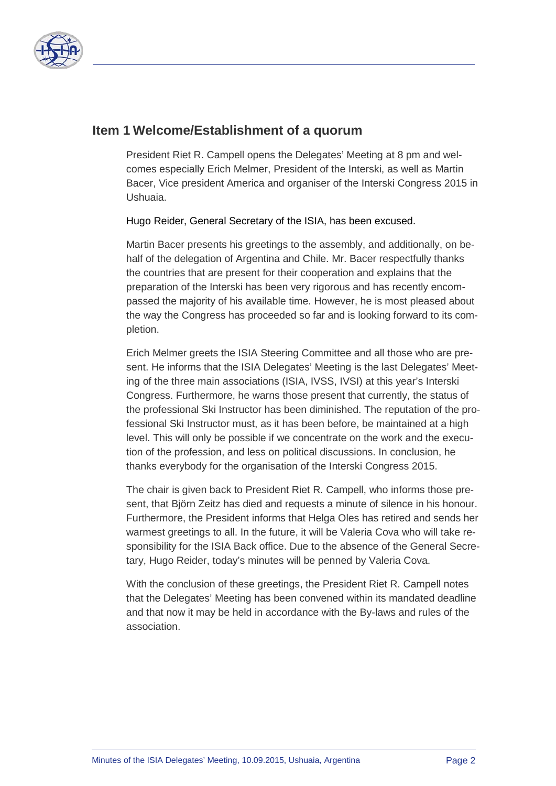

#### **Item 1 Welcome/Establishment of a quorum**

President Riet R. Campell opens the Delegates' Meeting at 8 pm and welcomes especially Erich Melmer, President of the Interski, as well as Martin Bacer, Vice president America and organiser of the Interski Congress 2015 in Ushuaia.

Hugo Reider, General Secretary of the ISIA, has been excused.

Martin Bacer presents his greetings to the assembly, and additionally, on behalf of the delegation of Argentina and Chile. Mr. Bacer respectfully thanks the countries that are present for their cooperation and explains that the preparation of the Interski has been very rigorous and has recently encompassed the majority of his available time. However, he is most pleased about the way the Congress has proceeded so far and is looking forward to its completion.

Erich Melmer greets the ISIA Steering Committee and all those who are present. He informs that the ISIA Delegates' Meeting is the last Delegates' Meeting of the three main associations (ISIA, IVSS, IVSI) at this year's Interski Congress. Furthermore, he warns those present that currently, the status of the professional Ski Instructor has been diminished. The reputation of the professional Ski Instructor must, as it has been before, be maintained at a high level. This will only be possible if we concentrate on the work and the execution of the profession, and less on political discussions. In conclusion, he thanks everybody for the organisation of the Interski Congress 2015.

The chair is given back to President Riet R. Campell, who informs those present, that Björn Zeitz has died and requests a minute of silence in his honour. Furthermore, the President informs that Helga Oles has retired and sends her warmest greetings to all. In the future, it will be Valeria Cova who will take responsibility for the ISIA Back office. Due to the absence of the General Secretary, Hugo Reider, today's minutes will be penned by Valeria Cova.

With the conclusion of these greetings, the President Riet R. Campell notes that the Delegates' Meeting has been convened within its mandated deadline and that now it may be held in accordance with the By-laws and rules of the association.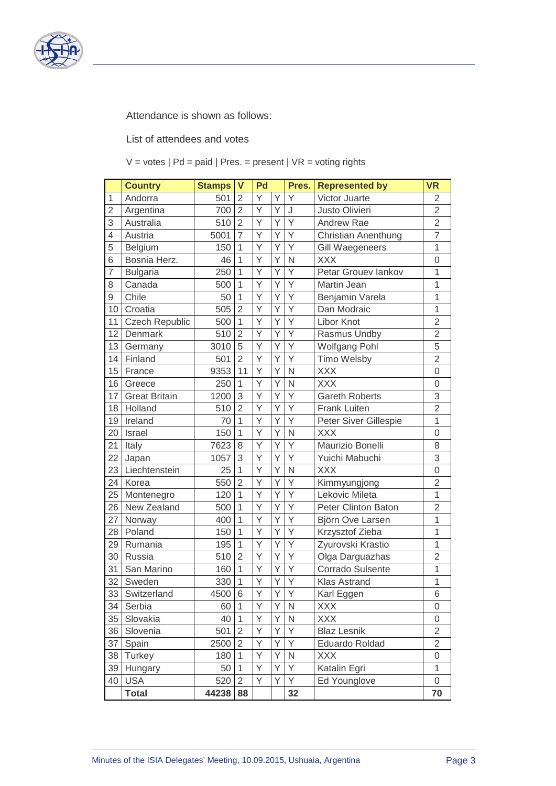

Attendance is shown as follows:

List of attendees and votes

 $V =$  votes  $|Pd =$  paid  $|Pres =$  present  $|VR =$  voting rights

|                | <b>Country</b>        | <b>Stamps</b> | $\mathsf{V}$   | Pd |   | Pres.          | <b>Represented by</b>      | <b>VR</b>        |
|----------------|-----------------------|---------------|----------------|----|---|----------------|----------------------------|------------------|
| 1              | Andorra               | 501           | $\overline{2}$ | Υ  | Υ | Y              | Victor Juarte              | $\overline{2}$   |
| $\overline{2}$ | Argentina             | 700           | $\overline{2}$ | Y  | Y | J              | Justo Olivieri             | $\overline{2}$   |
| 3              | Australia             | 510           | $\overline{2}$ | Y  | Ý | Y              | Andrew Rae                 | $\overline{2}$   |
| $\overline{4}$ | Austria               | 5001          | $\overline{7}$ | Y  | Υ | Y              | <b>Christian Anenthung</b> | $\overline{7}$   |
| 5              | Belgium               | 150           | $\mathbf 1$    | Y  | Y | Y              | <b>Gill Waegeneers</b>     | $\mathbf{1}$     |
| 6              | Bosnia Herz.          | 46            | $\overline{1}$ | Ÿ  | Ý | N              | <b>XXX</b>                 | $\overline{0}$   |
| $\overline{7}$ | <b>Bulgaria</b>       | 250           | $\overline{1}$ | Y  | Y | Y              | Petar Grouev lankov        | $\mathbf{1}$     |
| 8              | Canada                | 500           | $\overline{1}$ | Υ  | Y | Y              | Martin Jean                | $\overline{1}$   |
| $\mathsf 9$    | Chile                 | 50            | $\mathbf{1}$   | Y  | Υ | Y              | Benjamin Varela            | 1                |
| 10             | Croatia               | 505           | $\overline{2}$ | Ý  | Y | Y              | Dan Modraic                | 1                |
| 11             | <b>Czech Republic</b> | 500           | $\mathbf{1}$   | Y  | Υ | Y              | Libor Knot                 | $\overline{2}$   |
| 12             | Denmark               | 510           | $\overline{2}$ | Y  | Y | Y              | Rasmus Undby               | $\overline{2}$   |
| 13             | Germany               | 3010          | 5              | Υ  | Υ | Υ              | <b>Wolfgang Pohl</b>       | $\overline{5}$   |
| 14             | Finland               | 501           | $\overline{2}$ | Υ  | Υ | Υ              | Timo Welsby                | $\overline{2}$   |
| 15             | France                | 9353          | 11             | Y  | Ý | N              | <b>XXX</b>                 | $\overline{0}$   |
| 16             | Greece                | 250           | $\mathbf{1}$   | Y  | Y | N              | <b>XXX</b>                 | $\overline{0}$   |
| 17             | <b>Great Britain</b>  | 1200          | 3              | Y  | Y | Y              | <b>Gareth Roberts</b>      | 3                |
| 18             | Holland               | 510           | $\overline{2}$ | Υ  | Υ | Υ              | <b>Frank Luiten</b>        | $\overline{2}$   |
| 19             | Ireland               | 70            | 1              | Υ  | Y | Y              | Peter Siver Gillespie      | 1                |
| 20             | Israel                | 150           | $\overline{1}$ | Υ  | Υ | N              | <b>XXX</b>                 | $\overline{0}$   |
| 21             | Italy                 | 7623          | 8              | Y  | Y | Ϋ              | Maurizio Bonelli           | 8                |
| 22             | Japan                 | 1057          | 3              | Ý  | Y | Y              | Yuichi Mabuchi             | 3                |
| 23             | Liechtenstein         | 25            | $\mathbf{1}$   | Υ  | Υ | $\mathsf{N}$   | <b>XXX</b>                 | $\boldsymbol{0}$ |
| 24             | Korea                 | 550           | $\overline{2}$ | Y  | Y | Υ              | Kimmyungjong               | $\overline{2}$   |
| 25             | Montenegro            | 120           | $\overline{1}$ | Y  | Y | Y              | Lekovic Mileta             | $\overline{1}$   |
| 26             | New Zealand           | 500           | $\overline{1}$ | Y  | Y | Y              | Peter Clinton Baton        | $\overline{2}$   |
| 27             | Norway                | 400           | 1              | Y  | Y | Y              | Björn Ove Larsen           | $\mathbf{1}$     |
| 28             | Poland                | 150           | $\mathbf{1}$   | Υ  | Υ | Υ              | Krzysztof Zieba            | 1                |
| 29             | Rumania               | 195           | 1              | Υ  | Y | Υ              | Zyurovski Krastio          | $\overline{1}$   |
| 30             | Russia                | 510           | $\overline{2}$ | Υ  | Υ | Y              | Olga Darguazhas            | $\overline{2}$   |
| 31             | San Marino            | 160           | $\mathbf{1}$   | Y  | Y | Y              | Corrado Sulsente           | 1                |
| 32             | Sweden                | 330           | $\mathbf{1}$   | Υ  | Υ | Υ              | Klas Astrand               | 1                |
| 33             | Switzerland           | 4500          | $\,6$          | Y  | Y | $\overline{Y}$ | Karl Eggen                 | 6                |
| 34             | Serbia                | 60            | $\mathbf{1}$   | Y  | Y | N              | <b>XXX</b>                 | $\Omega$         |
| 35             | Slovakia              | 40            | $\mathbf{1}$   | Υ  | Υ | $\mathsf{N}$   | <b>XXX</b>                 | 0                |
| 36             | Slovenia              | 501           | $\overline{2}$ | Υ  | Υ | Y              | <b>Blaz Lesnik</b>         | $\overline{2}$   |
| 37             | Spain                 | 2500          | $\overline{2}$ | Υ  | Υ | Y              | <b>Eduardo Roldad</b>      | $\overline{2}$   |
| 38             | Turkey                | 180           | $\mathbf{1}$   | Υ  | Υ | $\mathsf{N}$   | <b>XXX</b>                 | $\mathsf 0$      |
| 39             | Hungary               | 50            | $\mathbf{1}$   | Υ  | Υ | Υ              | Katalin Egri               | $\mathbf{1}$     |
| 40             | <b>USA</b>            | 520           | $\overline{2}$ | Y  | Y | Y              | Ed Younglove               | 0                |
|                | <b>Total</b>          | 44238         | 88             |    |   | 32             |                            | 70               |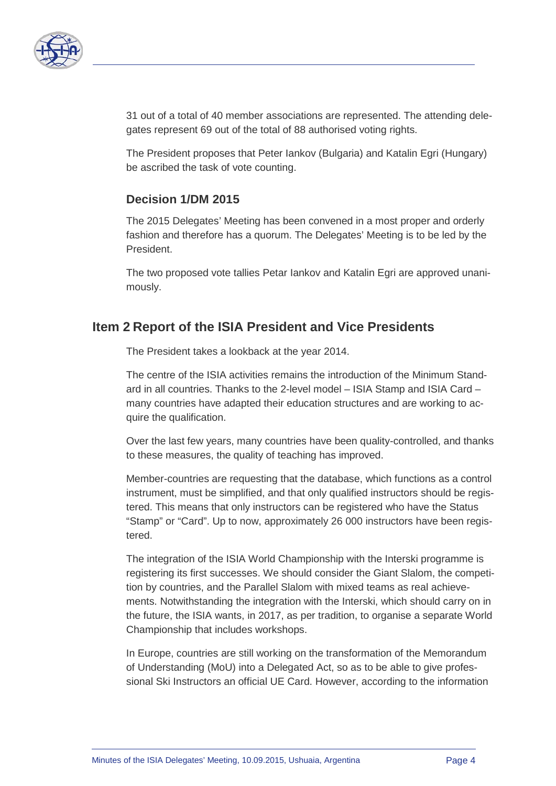

31 out of a total of 40 member associations are represented. The attending delegates represent 69 out of the total of 88 authorised voting rights.

The President proposes that Peter Iankov (Bulgaria) and Katalin Egri (Hungary) be ascribed the task of vote counting.

#### **Decision 1/DM 2015**

The 2015 Delegates' Meeting has been convened in a most proper and orderly fashion and therefore has a quorum. The Delegates' Meeting is to be led by the President.

The two proposed vote tallies Petar Iankov and Katalin Egri are approved unanimously.

#### **Item 2 Report of the ISIA President and Vice Presidents**

The President takes a lookback at the year 2014.

The centre of the ISIA activities remains the introduction of the Minimum Standard in all countries. Thanks to the 2-level model – ISIA Stamp and ISIA Card – many countries have adapted their education structures and are working to acquire the qualification.

Over the last few years, many countries have been quality-controlled, and thanks to these measures, the quality of teaching has improved.

Member-countries are requesting that the database, which functions as a control instrument, must be simplified, and that only qualified instructors should be registered. This means that only instructors can be registered who have the Status "Stamp" or "Card". Up to now, approximately 26 000 instructors have been registered.

The integration of the ISIA World Championship with the Interski programme is registering its first successes. We should consider the Giant Slalom, the competition by countries, and the Parallel Slalom with mixed teams as real achievements. Notwithstanding the integration with the Interski, which should carry on in the future, the ISIA wants, in 2017, as per tradition, to organise a separate World Championship that includes workshops.

In Europe, countries are still working on the transformation of the Memorandum of Understanding (MoU) into a Delegated Act, so as to be able to give professional Ski Instructors an official UE Card. However, according to the information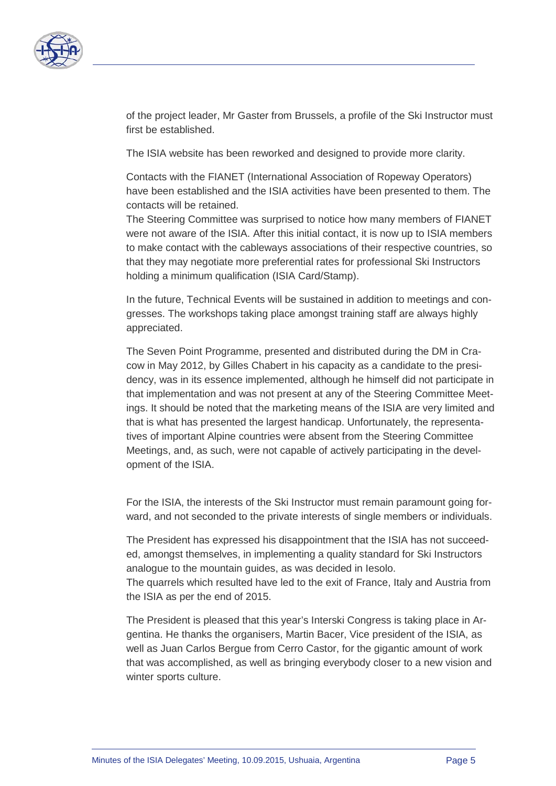

of the project leader, Mr Gaster from Brussels, a profile of the Ski Instructor must first be established.

The ISIA website has been reworked and designed to provide more clarity.

Contacts with the FIANET (International Association of Ropeway Operators) have been established and the ISIA activities have been presented to them. The contacts will be retained.

The Steering Committee was surprised to notice how many members of FIANET were not aware of the ISIA. After this initial contact, it is now up to ISIA members to make contact with the cableways associations of their respective countries, so that they may negotiate more preferential rates for professional Ski Instructors holding a minimum qualification (ISIA Card/Stamp).

In the future, Technical Events will be sustained in addition to meetings and congresses. The workshops taking place amongst training staff are always highly appreciated.

The Seven Point Programme, presented and distributed during the DM in Cracow in May 2012, by Gilles Chabert in his capacity as a candidate to the presidency, was in its essence implemented, although he himself did not participate in that implementation and was not present at any of the Steering Committee Meetings. It should be noted that the marketing means of the ISIA are very limited and that is what has presented the largest handicap. Unfortunately, the representatives of important Alpine countries were absent from the Steering Committee Meetings, and, as such, were not capable of actively participating in the development of the ISIA.

For the ISIA, the interests of the Ski Instructor must remain paramount going forward, and not seconded to the private interests of single members or individuals.

The President has expressed his disappointment that the ISIA has not succeeded, amongst themselves, in implementing a quality standard for Ski Instructors analogue to the mountain guides, as was decided in Iesolo.

The quarrels which resulted have led to the exit of France, Italy and Austria from the ISIA as per the end of 2015.

The President is pleased that this year's Interski Congress is taking place in Argentina. He thanks the organisers, Martin Bacer, Vice president of the ISIA, as well as Juan Carlos Bergue from Cerro Castor, for the gigantic amount of work that was accomplished, as well as bringing everybody closer to a new vision and winter sports culture.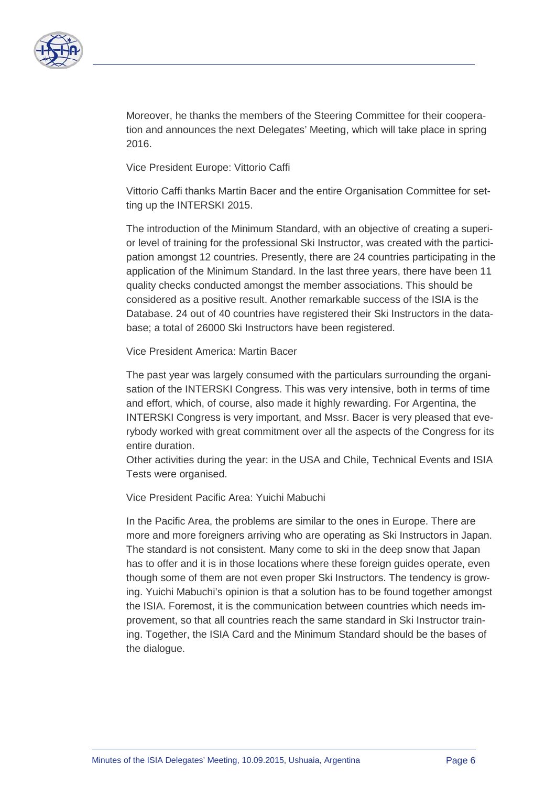

Moreover, he thanks the members of the Steering Committee for their cooperation and announces the next Delegates' Meeting, which will take place in spring 2016.

Vice President Europe: Vittorio Caffi

Vittorio Caffi thanks Martin Bacer and the entire Organisation Committee for setting up the INTERSKI 2015.

The introduction of the Minimum Standard, with an objective of creating a superior level of training for the professional Ski Instructor, was created with the participation amongst 12 countries. Presently, there are 24 countries participating in the application of the Minimum Standard. In the last three years, there have been 11 quality checks conducted amongst the member associations. This should be considered as a positive result. Another remarkable success of the ISIA is the Database. 24 out of 40 countries have registered their Ski Instructors in the database; a total of 26000 Ski Instructors have been registered.

Vice President America: Martin Bacer

The past year was largely consumed with the particulars surrounding the organisation of the INTERSKI Congress. This was very intensive, both in terms of time and effort, which, of course, also made it highly rewarding. For Argentina, the INTERSKI Congress is very important, and Mssr. Bacer is very pleased that everybody worked with great commitment over all the aspects of the Congress for its entire duration.

Other activities during the year: in the USA and Chile, Technical Events and ISIA Tests were organised.

Vice President Pacific Area: Yuichi Mabuchi

In the Pacific Area, the problems are similar to the ones in Europe. There are more and more foreigners arriving who are operating as Ski Instructors in Japan. The standard is not consistent. Many come to ski in the deep snow that Japan has to offer and it is in those locations where these foreign guides operate, even though some of them are not even proper Ski Instructors. The tendency is growing. Yuichi Mabuchi's opinion is that a solution has to be found together amongst the ISIA. Foremost, it is the communication between countries which needs improvement, so that all countries reach the same standard in Ski Instructor training. Together, the ISIA Card and the Minimum Standard should be the bases of the dialogue.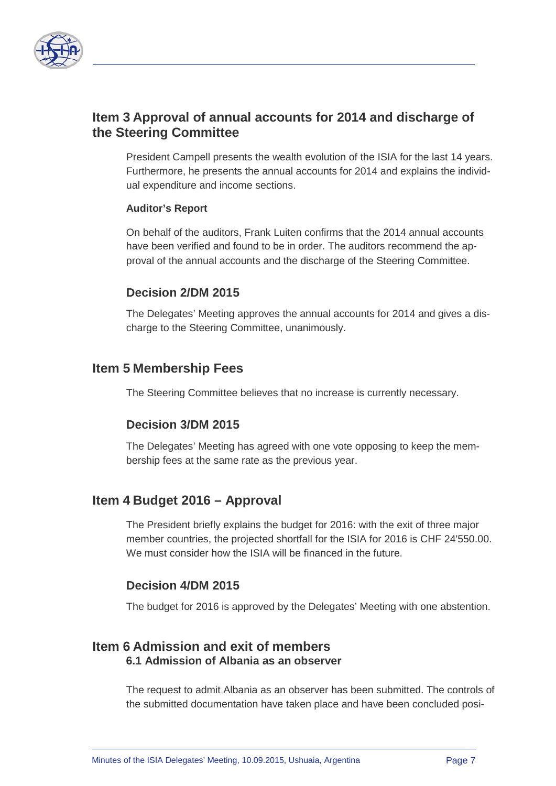

### **Item 3 Approval of annual accounts for 2014 and discharge of the Steering Committee**

President Campell presents the wealth evolution of the ISIA for the last 14 years. Furthermore, he presents the annual accounts for 2014 and explains the individual expenditure and income sections.

#### **Auditor's Report**

On behalf of the auditors, Frank Luiten confirms that the 2014 annual accounts have been verified and found to be in order. The auditors recommend the approval of the annual accounts and the discharge of the Steering Committee.

#### **Decision 2/DM 2015**

The Delegates' Meeting approves the annual accounts for 2014 and gives a discharge to the Steering Committee, unanimously.

#### **Item 5 Membership Fees**

The Steering Committee believes that no increase is currently necessary.

#### **Decision 3/DM 2015**

The Delegates' Meeting has agreed with one vote opposing to keep the membership fees at the same rate as the previous year.

#### **Item 4 Budget 2016 – Approval**

The President briefly explains the budget for 2016: with the exit of three major member countries, the projected shortfall for the ISIA for 2016 is CHF 24'550.00. We must consider how the ISIA will be financed in the future.

#### **Decision 4/DM 2015**

The budget for 2016 is approved by the Delegates' Meeting with one abstention.

#### **Item 6 Admission and exit of members 6.1 Admission of Albania as an observer**

The request to admit Albania as an observer has been submitted. The controls of the submitted documentation have taken place and have been concluded posi-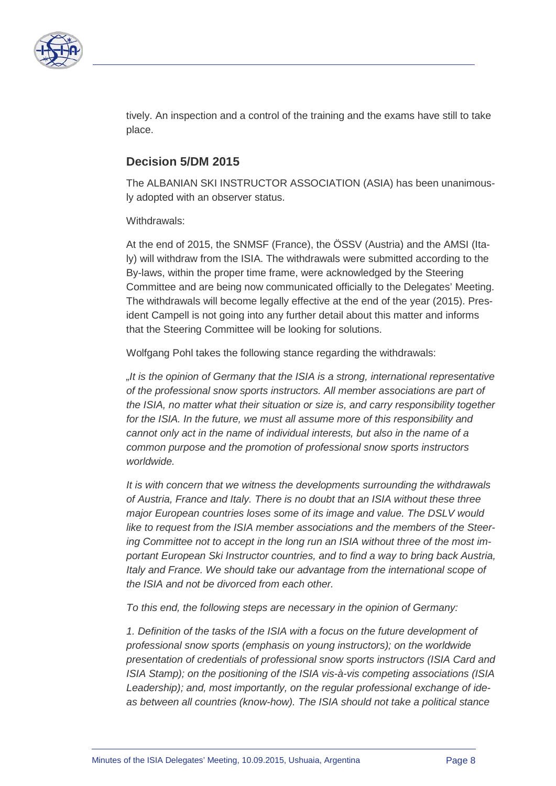

tively. An inspection and a control of the training and the exams have still to take place.

#### **Decision 5/DM 2015**

The ALBANIAN SKI INSTRUCTOR ASSOCIATION (ASIA) has been unanimously adopted with an observer status.

Withdrawals:

At the end of 2015, the SNMSF (France), the ÖSSV (Austria) and the AMSI (Italy) will withdraw from the ISIA. The withdrawals were submitted according to the By-laws, within the proper time frame, were acknowledged by the Steering Committee and are being now communicated officially to the Delegates' Meeting. The withdrawals will become legally effective at the end of the year (2015). President Campell is not going into any further detail about this matter and informs that the Steering Committee will be looking for solutions.

Wolfgang Pohl takes the following stance regarding the withdrawals:

*"It is the opinion of Germany that the ISIA is a strong, international representative of the professional snow sports instructors. All member associations are part of the ISIA, no matter what their situation or size is, and carry responsibility together for the ISIA. In the future, we must all assume more of this responsibility and cannot only act in the name of individual interests, but also in the name of a common purpose and the promotion of professional snow sports instructors worldwide.*

*It is with concern that we witness the developments surrounding the withdrawals of Austria, France and Italy. There is no doubt that an ISIA without these three major European countries loses some of its image and value. The DSLV would like to request from the ISIA member associations and the members of the Steering Committee not to accept in the long run an ISIA without three of the most important European Ski Instructor countries, and to find a way to bring back Austria, Italy and France. We should take our advantage from the international scope of the ISIA and not be divorced from each other.* 

*To this end, the following steps are necessary in the opinion of Germany:*

1. Definition of the tasks of the ISIA with a focus on the future development of *professional snow sports (emphasis on young instructors); on the worldwide presentation of credentials of professional snow sports instructors (ISIA Card and ISIA Stamp); on the positioning of the ISIA vis-à-vis competing associations (ISIA Leadership); and, most importantly, on the regular professional exchange of ideas between all countries (know-how). The ISIA should not take a political stance*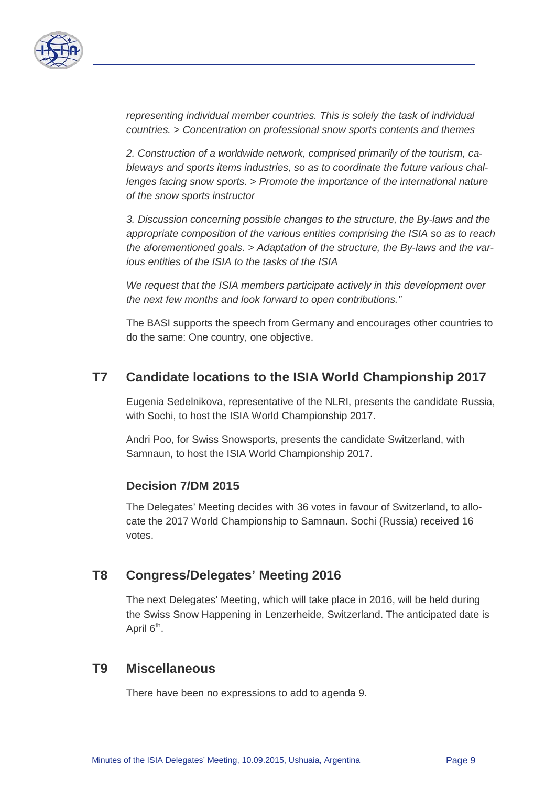

*representing individual member countries. This is solely the task of individual countries. > Concentration on professional snow sports contents and themes*

*2. Construction of a worldwide network, comprised primarily of the tourism, cableways and sports items industries, so as to coordinate the future various challenges facing snow sports. > Promote the importance of the international nature of the snow sports instructor*

*3. Discussion concerning possible changes to the structure, the By-laws and the appropriate composition of the various entities comprising the ISIA so as to reach the aforementioned goals. > Adaptation of the structure, the By-laws and the various entities of the ISIA to the tasks of the ISIA*

*We request that the ISIA members participate actively in this development over the next few months and look forward to open contributions."*

The BASI supports the speech from Germany and encourages other countries to do the same: One country, one objective.

### **T7 Candidate locations to the ISIA World Championship 2017**

Eugenia Sedelnikova, representative of the NLRI, presents the candidate Russia, with Sochi, to host the ISIA World Championship 2017.

Andri Poo, for Swiss Snowsports, presents the candidate Switzerland, with Samnaun, to host the ISIA World Championship 2017.

#### **Decision 7/DM 2015**

The Delegates' Meeting decides with 36 votes in favour of Switzerland, to allocate the 2017 World Championship to Samnaun. Sochi (Russia) received 16 votes.

#### **T8 Congress/Delegates' Meeting 2016**

The next Delegates' Meeting, which will take place in 2016, will be held during the Swiss Snow Happening in Lenzerheide, Switzerland. The anticipated date is April 6<sup>th</sup>.

#### **T9 Miscellaneous**

There have been no expressions to add to agenda 9.